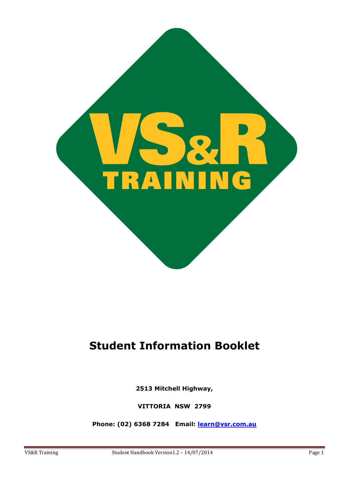

# **Student Information Booklet**

**2513 Mitchell Highway,** 

**VITTORIA NSW 2799** 

**Phone: (02) 6368 7284 Email: [learn@vsr.com.au](mailto:learn@vsr.com.au)**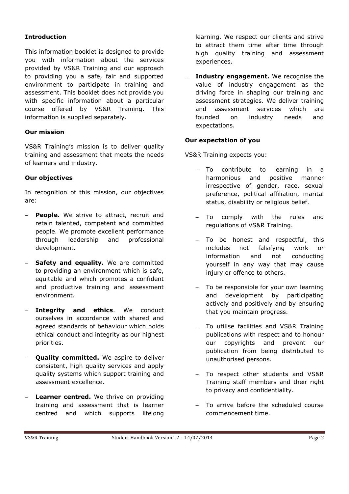# **Introduction**

This information booklet is designed to provide you with information about the services provided by VS&R Training and our approach to providing you a safe, fair and supported environment to participate in training and assessment. This booklet does not provide you with specific information about a particular course offered by VS&R Training. This information is supplied separately.

### **Our mission**

VS&R Training's mission is to deliver quality training and assessment that meets the needs of learners and industry.

### **Our objectives**

In recognition of this mission, our objectives are:

- **People.** We strive to attract, recruit and retain talented, competent and committed people. We promote excellent performance through leadership and professional development.
- **Safety and equality.** We are committed to providing an environment which is safe, equitable and which promotes a confident and productive training and assessment environment.
- **Integrity and ethics**. We conduct ourselves in accordance with shared and agreed standards of behaviour which holds ethical conduct and integrity as our highest priorities.
- **Quality committed.** We aspire to deliver consistent, high quality services and apply quality systems which support training and assessment excellence.
- **Learner centred.** We thrive on providing training and assessment that is learner centred and which supports lifelong

learning. We respect our clients and strive to attract them time after time through high quality training and assessment experiences.

**Industry engagement.** We recognise the value of industry engagement as the driving force in shaping our training and assessment strategies. We deliver training and assessment services which are founded on industry needs and expectations.

# **Our expectation of you**

VS&R Training expects you:

- To contribute to learning in a harmonious and positive manner irrespective of gender, race, sexual preference, political affiliation, marital status, disability or religious belief.
- To comply with the rules and regulations of VS&R Training.
- To be honest and respectful, this includes not falsifying work or information and not conducting yourself in any way that may cause injury or offence to others.
- To be responsible for your own learning and development by participating actively and positively and by ensuring that you maintain progress.
- To utilise facilities and VS&R Training publications with respect and to honour our copyrights and prevent our publication from being distributed to unauthorised persons.
- To respect other students and VS&R Training staff members and their right to privacy and confidentiality.
- To arrive before the scheduled course commencement time.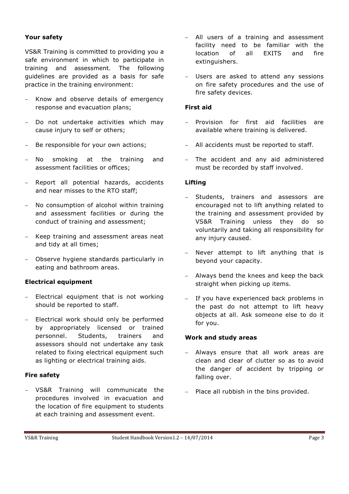### **Your safety**

VS&R Training is committed to providing you a safe environment in which to participate in training and assessment. The following guidelines are provided as a basis for safe practice in the training environment:

- Know and observe details of emergency response and evacuation plans;
- Do not undertake activities which may cause injury to self or others;
- Be responsible for your own actions;
- No smoking at the training and assessment facilities or offices;
- Report all potential hazards, accidents and near misses to the RTO staff;
- No consumption of alcohol within training and assessment facilities or during the conduct of training and assessment;
- Keep training and assessment areas neat and tidy at all times;
- Observe hygiene standards particularly in eating and bathroom areas.

# **Electrical equipment**

- Electrical equipment that is not working should be reported to staff.
- Electrical work should only be performed by appropriately licensed or trained personnel. Students, trainers and assessors should not undertake any task related to fixing electrical equipment such as lighting or electrical training aids.

# **Fire safety**

 VS&R Training will communicate the procedures involved in evacuation and the location of fire equipment to students at each training and assessment event.

- All users of a training and assessment facility need to be familiar with the location of all EXITS and fire extinguishers.
- Users are asked to attend any sessions on fire safety procedures and the use of fire safety devices.

# **First aid**

- Provision for first aid facilities are available where training is delivered.
- All accidents must be reported to staff.
- The accident and any aid administered must be recorded by staff involved.

# **Lifting**

- Students, trainers and assessors are encouraged not to lift anything related to the training and assessment provided by VS&R Training unless they do so voluntarily and taking all responsibility for any injury caused.
- Never attempt to lift anything that is beyond your capacity.
- Always bend the knees and keep the back straight when picking up items.
- If you have experienced back problems in the past do not attempt to lift heavy objects at all. Ask someone else to do it for you.

### **Work and study areas**

- Always ensure that all work areas are clean and clear of clutter so as to avoid the danger of accident by tripping or falling over.
- Place all rubbish in the bins provided.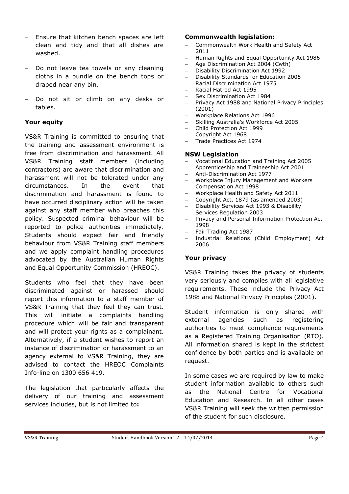- Ensure that kitchen bench spaces are left clean and tidy and that all dishes are washed.
- Do not leave tea towels or any cleaning cloths in a bundle on the bench tops or draped near any bin.
- Do not sit or climb on any desks or tables.

# **Your equity**

VS&R Training is committed to ensuring that the training and assessment environment is free from discrimination and harassment. All VS&R Training staff members (including contractors) are aware that discrimination and harassment will not be tolerated under any circumstances. In the event that discrimination and harassment is found to have occurred disciplinary action will be taken against any staff member who breaches this policy. Suspected criminal behaviour will be reported to police authorities immediately. Students should expect fair and friendly behaviour from VS&R Training staff members and we apply complaint handling procedures advocated by the Australian Human Rights and Equal Opportunity Commission (HREOC).

Students who feel that they have been discriminated against or harassed should report this information to a staff member of VS&R Training that they feel they can trust. This will initiate a complaints handling procedure which will be fair and transparent and will protect your rights as a complainant. Alternatively, if a student wishes to report an instance of discrimination or harassment to an agency external to VS&R Training, they are advised to contact the HREOC Complaints Info-line on 1300 656 419.

The legislation that particularly affects the delivery of our training and assessment services includes, but is not limited to**:** 

### **Commonwealth legislation:**

- Commonwealth Work Health and Safety Act 2011
- Human Rights and Equal Opportunity Act 1986
- Age Discrimination Act 2004 (Cwth)
- Disability Discrimination Act 1992
- Disability Standards for Education 2005
- Racial Discrimination Act 1975
- Racial Hatred Act 1995
- Sex Discrimination Act 1984
- Privacy Act 1988 and National Privacy Principles (2001)
- Workplace Relations Act 1996
- Skilling Australia's Workforce Act 2005
- Child Protection Act 1999
- Copyright Act 1968
- Trade Practices Act 1974

#### **NSW Legislation**

- Vocational Education and Training Act 2005
- Apprenticeship and Traineeship Act 2001
- Anti-Discrimination Act 1977
- Workplace Injury Management and Workers Compensation Act 1998
- Workplace Health and Safety Act 2011
- Copyright Act, 1879 (as amended 2003)
- Disability Services Act 1993 & Disability Services Regulation 2003
- Privacy and Personal Information Protection Act 1998
- Fair Trading Act 1987
- Industrial Relations (Child Employment) Act 2006

### **Your privacy**

VS&R Training takes the privacy of students very seriously and complies with all legislative requirements. These include the Privacy Act 1988 and National Privacy Principles (2001).

Student information is only shared with external agencies such as registering authorities to meet compliance requirements as a Registered Training Organisation (RTO). All information shared is kept in the strictest confidence by both parties and is available on request.

In some cases we are required by law to make student information available to others such as the National Centre for Vocational Education and Research. In all other cases VS&R Training will seek the written permission of the student for such disclosure.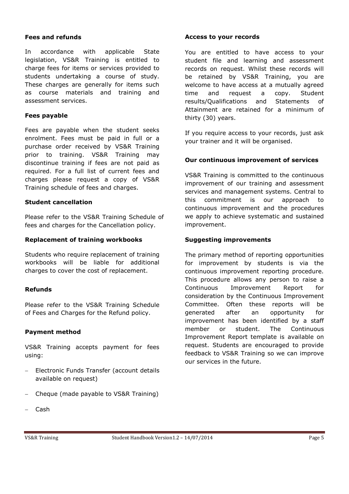### **Fees and refunds**

In accordance with applicable State legislation, VS&R Training is entitled to charge fees for items or services provided to students undertaking a course of study. These charges are generally for items such as course materials and training and assessment services.

### **Fees payable**

Fees are payable when the student seeks enrolment. Fees must be paid in full or a purchase order received by VS&R Training prior to training. VS&R Training may discontinue training if fees are not paid as required. For a full list of current fees and charges please request a copy of VS&R Training schedule of fees and charges.

### **Student cancellation**

Please refer to the VS&R Training Schedule of fees and charges for the Cancellation policy.

### **Replacement of training workbooks**

Students who require replacement of training workbooks will be liable for additional charges to cover the cost of replacement.

### **Refunds**

Please refer to the VS&R Training Schedule of Fees and Charges for the Refund policy.

### **Payment method**

VS&R Training accepts payment for fees using:

- Electronic Funds Transfer (account details available on request)
- Cheque (made payable to VS&R Training)

# **Access to your records**

You are entitled to have access to your student file and learning and assessment records on request. Whilst these records will be retained by VS&R Training, you are welcome to have access at a mutually agreed time and request a copy. Student results/Qualifications and Statements of Attainment are retained for a minimum of thirty (30) years.

If you require access to your records, just ask your trainer and it will be organised.

# **Our continuous improvement of services**

VS&R Training is committed to the continuous improvement of our training and assessment services and management systems. Central to this commitment is our approach to continuous improvement and the procedures we apply to achieve systematic and sustained improvement.

### **Suggesting improvements**

The primary method of reporting opportunities for improvement by students is via the continuous improvement reporting procedure. This procedure allows any person to raise a Continuous Improvement Report for consideration by the Continuous Improvement Committee. Often these reports will be generated after an opportunity for improvement has been identified by a staff member or student. The Continuous Improvement Report template is available on request. Students are encouraged to provide feedback to VS&R Training so we can improve our services in the future.

Cash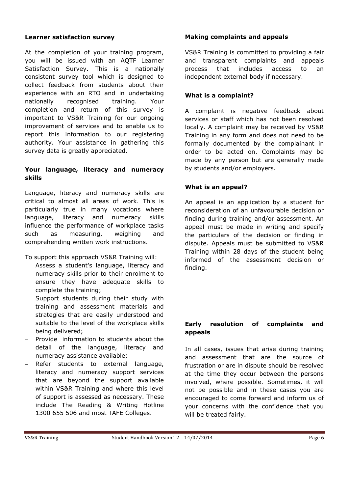### **Learner satisfaction survey**

At the completion of your training program, you will be issued with an AQTF Learner Satisfaction Survey. This is a nationally consistent survey tool which is designed to collect feedback from students about their experience with an RTO and in undertaking nationally recognised training. Your completion and return of this survey is important to VS&R Training for our ongoing improvement of services and to enable us to report this information to our registering authority. Your assistance in gathering this survey data is greatly appreciated.

# **Your language, literacy and numeracy skills**

Language, literacy and numeracy skills are critical to almost all areas of work. This is particularly true in many vocations where language, literacy and numeracy skills influence the performance of workplace tasks such as measuring, weighing and comprehending written work instructions.

To support this approach VS&R Training will:

- Assess a student's language, literacy and numeracy skills prior to their enrolment to ensure they have adequate skills to complete the training;
- Support students during their study with training and assessment materials and strategies that are easily understood and suitable to the level of the workplace skills being delivered;
- Provide information to students about the detail of the language, literacy and numeracy assistance available;
- Refer students to external language, literacy and numeracy support services that are beyond the support available within VS&R Training and where this level of support is assessed as necessary. These include The Reading & Writing Hotline 1300 655 506 and most TAFE Colleges.

### **Making complaints and appeals**

VS&R Training is committed to providing a fair and transparent complaints and appeals process that includes access to an independent external body if necessary.

### **What is a complaint?**

A complaint is negative feedback about services or staff which has not been resolved locally. A complaint may be received by VS&R Training in any form and does not need to be formally documented by the complainant in order to be acted on. Complaints may be made by any person but are generally made by students and/or employers.

# **What is an appeal?**

An appeal is an application by a student for reconsideration of an unfavourable decision or finding during training and/or assessment. An appeal must be made in writing and specify the particulars of the decision or finding in dispute. Appeals must be submitted to VS&R Training within 28 days of the student being informed of the assessment decision or finding.

# **Early resolution of complaints and appeals**

In all cases, issues that arise during training and assessment that are the source of frustration or are in dispute should be resolved at the time they occur between the persons involved, where possible. Sometimes, it will not be possible and in these cases you are encouraged to come forward and inform us of your concerns with the confidence that you will be treated fairly.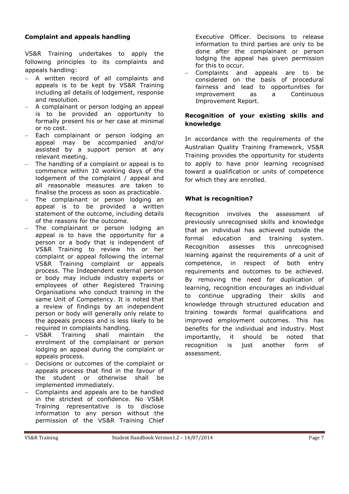# **Complaint and appeals handling**

VS&R Training undertakes to apply the following principles to its complaints and appeals handling:

- A written record of all complaints and appeals is to be kept by VS&R Training including all details of lodgement, response and resolution.
- A complainant or person lodging an appeal is to be provided an opportunity to formally present his or her case at minimal or no cost.
- Each complainant or person lodging an appeal may be accompanied and/or assisted by a support person at any relevant meeting.
- The handling of a complaint or appeal is to commence within 10 working days of the lodgement of the complaint / appeal and all reasonable measures are taken to finalise the process as soon as practicable.
- The complainant or person lodging an appeal is to be provided a written statement of the outcome, including details of the reasons for the outcome.
- The complainant or person lodging an appeal is to have the opportunity for a person or a body that is independent of VS&R Training to review his or her complaint or appeal following the internal VS&R Training complaint or appeals process. The Independent external person or body may include industry experts or employees of other Registered Training Organisations who conduct training in the same Unit of Competency. It is noted that a review of findings by an independent person or body will generally only relate to the appeals process and is less likely to be required in complaints handling.
- VS&R Training shall maintain the enrolment of the complainant or person lodging an appeal during the complaint or appeals process.
- Decisions or outcomes of the complaint or appeals process that find in the favour of the student or otherwise shall be implemented immediately.
- Complaints and appeals are to be handled in the strictest of confidence. No VS&R Training representative is to disclose information to any person without the permission of the VS&R Training Chief

Executive Officer. Decisions to release information to third parties are only to be done after the complainant or person lodging the appeal has given permission for this to occur.<br>Complaints and

appeals are to be considered on the basis of procedural fairness and lead to opportunities for improvement as a Continuous Improvement Report.

# **Recognition of your existing skills and knowledge**

In accordance with the requirements of the Australian Quality Training Framework, VS&R Training provides the opportunity for students to apply to have prior learning recognised toward a qualification or units of competence for which they are enrolled.

# **What is recognition?**

Recognition involves the assessment of previously unrecognised skills and knowledge that an individual has achieved outside the formal education and training system. Recognition assesses this unrecognised learning against the requirements of a unit of competence, in respect of both entry requirements and outcomes to be achieved. By removing the need for duplication of learning, recognition encourages an individual to continue upgrading their skills and knowledge through structured education and training towards formal qualifications and improved employment outcomes. This has benefits for the individual and industry. Most importantly, it should be noted that recognition is just another form of assessment.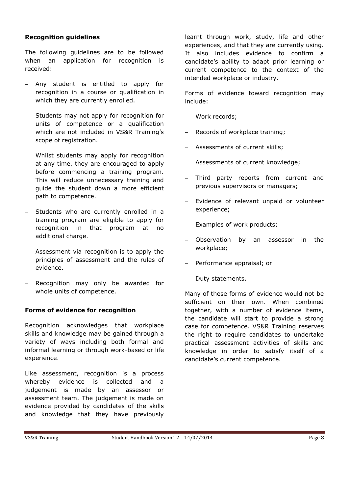### **Recognition guidelines**

The following guidelines are to be followed when an application for recognition is received:

- Any student is entitled to apply for recognition in a course or qualification in which they are currently enrolled.
- Students may not apply for recognition for units of competence or a qualification which are not included in VS&R Training's scope of registration.
- Whilst students may apply for recognition at any time, they are encouraged to apply before commencing a training program. This will reduce unnecessary training and guide the student down a more efficient path to competence.
- Students who are currently enrolled in a training program are eligible to apply for recognition in that program at no additional charge.
- Assessment via recognition is to apply the principles of assessment and the rules of evidence.
- Recognition may only be awarded for whole units of competence.

### **Forms of evidence for recognition**

Recognition acknowledges that workplace skills and knowledge may be gained through a variety of ways including both formal and informal learning or through work-based or life experience.

Like assessment, recognition is a process whereby evidence is collected and a judgement is made by an assessor or assessment team. The judgement is made on evidence provided by candidates of the skills and knowledge that they have previously learnt through work, study, life and other experiences, and that they are currently using. It also includes evidence to confirm a candidate's ability to adapt prior learning or current competence to the context of the intended workplace or industry.

Forms of evidence toward recognition may include:

- Work records;
- Records of workplace training;
- Assessments of current skills;
- Assessments of current knowledge;
- Third party reports from current and previous supervisors or managers;
- Evidence of relevant unpaid or volunteer experience;
- Examples of work products;
- Observation by an assessor in the workplace;
- Performance appraisal; or
- Duty statements.

Many of these forms of evidence would not be sufficient on their own. When combined together, with a number of evidence items, the candidate will start to provide a strong case for competence. VS&R Training reserves the right to require candidates to undertake practical assessment activities of skills and knowledge in order to satisfy itself of a candidate's current competence.